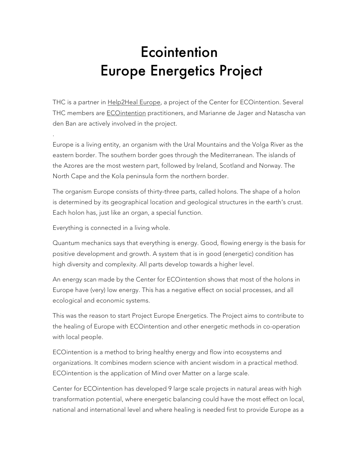## **Ecointention** Europe Energetics Project

THC is a partner in Help2Heal Europe, a project of the Center for ECOintention. Several THC members are **ECOintention** practitioners, and Marianne de Jager and Natascha van den Ban are actively involved in the project.

Europe is a living entity, an organism with the Ural Mountains and the Volga River as the eastern border. The southern border goes through the Mediterranean. The islands of the Azores are the most western part, followed by Ireland, Scotland and Norway. The North Cape and the Kola peninsula form the northern border.

The organism Europe consists of thirty-three parts, called holons. The shape of a holon is determined by its geographical location and geological structures in the earth's crust. Each holon has, just like an organ, a special function.

Everything is connected in a living whole.

.

Quantum mechanics says that everything is energy. Good, flowing energy is the basis for positive development and growth. A system that is in good (energetic) condition has high diversity and complexity. All parts develop towards a higher level.

An energy scan made by the Center for ECOintention shows that most of the holons in Europe have (very) low energy. This has a negative effect on social processes, and all ecological and economic systems.

This was the reason to start Project Europe Energetics. The Project aims to contribute to the healing of Europe with ECOintention and other energetic methods in co-operation with local people.

ECOintention is a method to bring healthy energy and flow into ecosystems and organizations. It combines modern science with ancient wisdom in a practical method. ECOintention is the application of Mind over Matter on a large scale.

Center for ECOintention has developed 9 large scale projects in natural areas with high transformation potential, where energetic balancing could have the most effect on local, national and international level and where healing is needed first to provide Europe as a